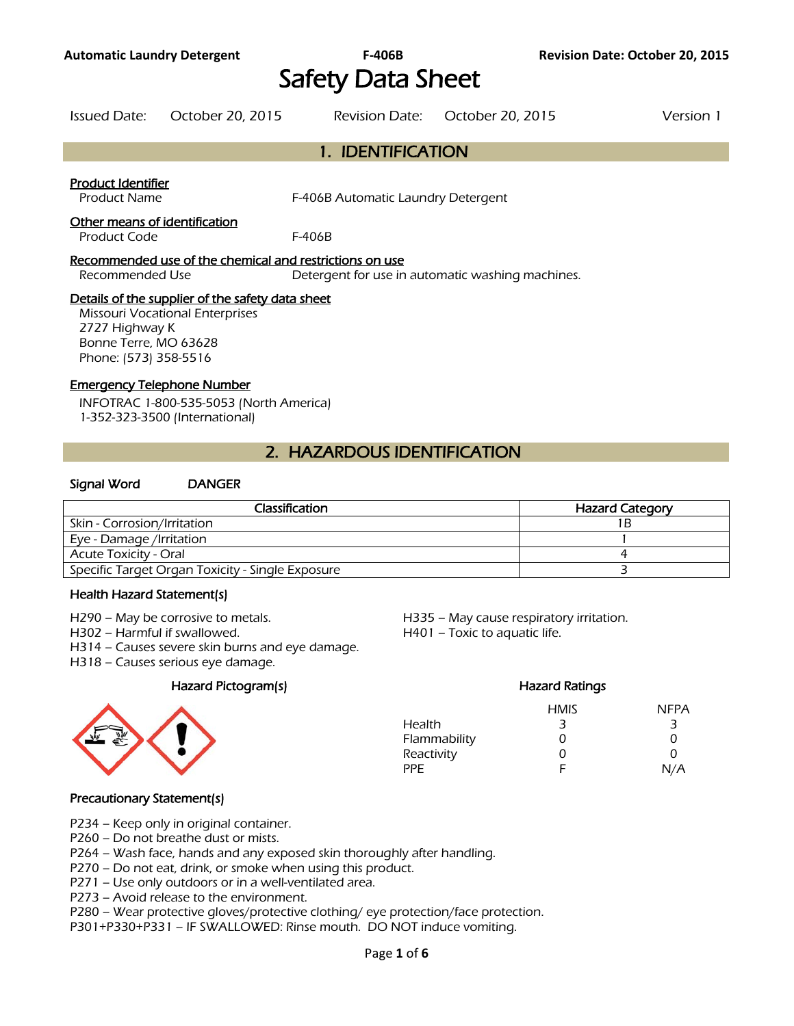# Safety Data Sheet

Issued Date: October 20, 2015 Revision Date: October 20, 2015 Version 1

#### 1. IDENTIFICATION

#### Product Identifier

Product Name F-406B Automatic Laundry Detergent

#### Other means of identification

Product Code F-406B

#### Recommended use of the chemical and restrictions on use

Recommended Use Detergent for use in automatic washing machines.

#### Details of the supplier of the safety data sheet

Missouri Vocational Enterprises 2727 Highway K Bonne Terre, MO 63628 Phone: (573) 358-5516

#### Emergency Telephone Number

INFOTRAC 1-800-535-5053 (North America) 1-352-323-3500 (International)

#### 2. HAZARDOUS IDENTIFICATION

#### Signal Word DANGER

| Classification                                   | <b>Hazard Category</b> |
|--------------------------------------------------|------------------------|
| Skin - Corrosion/Irritation                      | 1 B                    |
| Eye - Damage /Irritation                         |                        |
| <b>Acute Toxicity - Oral</b>                     |                        |
| Specific Target Organ Toxicity - Single Exposure |                        |
|                                                  |                        |

#### Health Hazard Statement(s)

- 
- H302 Harmful if swallowed. H401 Toxic to aquatic life.
- H314 Causes severe skin burns and eye damage.
- H318 Causes serious eye damage.

#### Hazard Pictogram(s) example a material example of the Hazard Ratings



H290 – May be corrosive to metals. H335 – May cause respiratory irritation.

|              | nazaru Katiriys |             |
|--------------|-----------------|-------------|
|              | <b>HMIS</b>     | <b>NFPA</b> |
| Health       | 3               | 3           |
| Flammability | Ω               | Ω           |
| Reactivity   | Ω               | 0           |
| PPF.         | F               | N/A         |
|              |                 |             |

#### Precautionary Statement(s)

P234 – Keep only in original container.

P260 – Do not breathe dust or mists.

P264 – Wash face, hands and any exposed skin thoroughly after handling.

P270 – Do not eat, drink, or smoke when using this product.

P271 – Use only outdoors or in a well-ventilated area.

P273 – Avoid release to the environment.

P280 – Wear protective gloves/protective clothing/ eye protection/face protection.

P301+P330+P331 – IF SWALLOWED: Rinse mouth. DO NOT induce vomiting.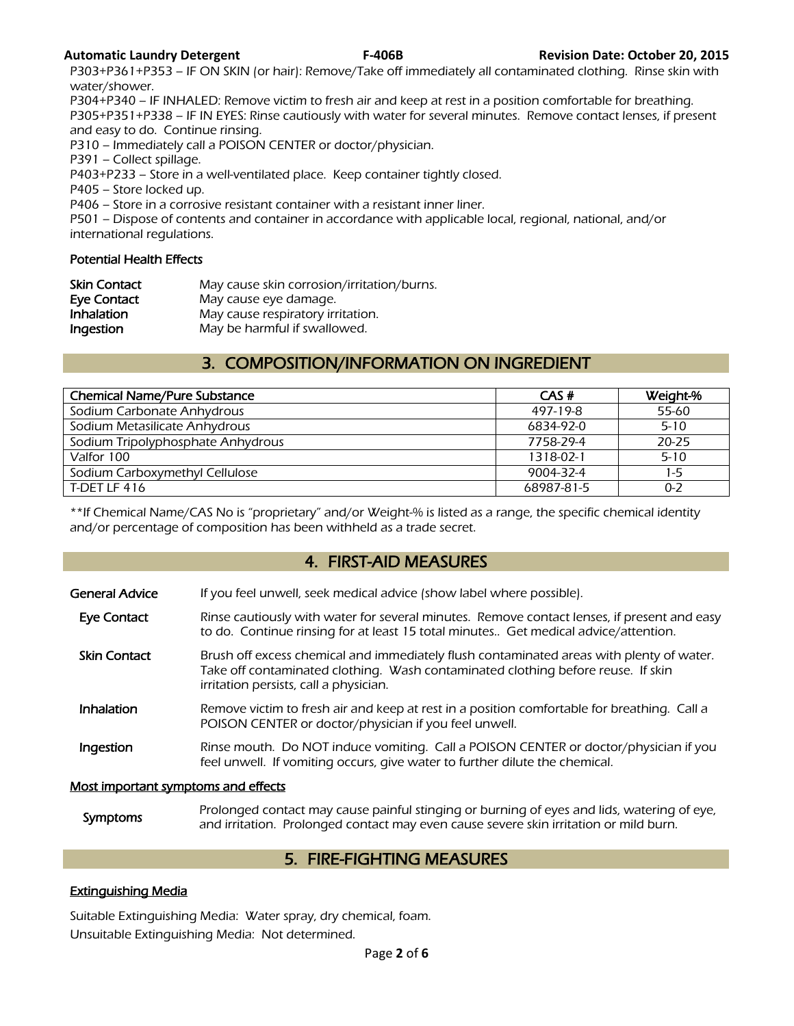P303+P361+P353 – IF ON SKIN (or hair): Remove/Take off immediately all contaminated clothing. Rinse skin with water/shower.

P304+P340 – IF INHALED: Remove victim to fresh air and keep at rest in a position comfortable for breathing. P305+P351+P338 – IF IN EYES: Rinse cautiously with water for several minutes. Remove contact lenses, if present and easy to do. Continue rinsing.

P310 – Immediately call a POISON CENTER or doctor/physician.

P391 – Collect spillage.

P403+P233 – Store in a well-ventilated place. Keep container tightly closed.

P405 – Store locked up.

P406 – Store in a corrosive resistant container with a resistant inner liner.

P501 – Dispose of contents and container in accordance with applicable local, regional, national, and/or international regulations.

#### Potential Health Effects

| <b>Skin Contact</b> | May cause skin corrosion/irritation/burns. |
|---------------------|--------------------------------------------|
| Eye Contact         | May cause eye damage.                      |
| Inhalation          | May cause respiratory irritation.          |
| Ingestion           | May be harmful if swallowed.               |

#### 3. COMPOSITION/INFORMATION ON INGREDIENT

| <b>Chemical Name/Pure Substance</b> | CAS#       | Weight-%  |
|-------------------------------------|------------|-----------|
| Sodium Carbonate Anhydrous          | 497-19-8   | 55-60     |
| Sodium Metasilicate Anhydrous       | 6834-92-0  | $5 - 10$  |
| Sodium Tripolyphosphate Anhydrous   | 7758-29-4  | $20 - 25$ |
| Valfor 100                          | 1318-02-1  | $5 - 10$  |
| Sodium Carboxymethyl Cellulose      | 9004-32-4  | $1-5$     |
| T-DET LF 416                        | 68987-81-5 | $0 - 2$   |
|                                     |            |           |

\*\*If Chemical Name/CAS No is "proprietary" and/or Weight-% is listed as a range, the specific chemical identity and/or percentage of composition has been withheld as a trade secret.

#### 4. FIRST-AID MEASURES

- Eye Contact Rinse cautiously with water for several minutes. Remove contact lenses, if present and easy to do. Continue rinsing for at least 15 total minutes.. Get medical advice/attention.
- Skin Contact Brush off excess chemical and immediately flush contaminated areas with plenty of water. Take off contaminated clothing. Wash contaminated clothing before reuse. If skin irritation persists, call a physician.
- **Inhalation** Remove victim to fresh air and keep at rest in a position comfortable for breathing. Call a POISON CENTER or doctor/physician if you feel unwell.
- Ingestion Rinse mouth. Do NOT induce vomiting. Call a POISON CENTER or doctor/physician if you feel unwell. If vomiting occurs, give water to further dilute the chemical.

#### Most important symptoms and effects

Symptoms Prolonged contact may cause painful stinging or burning of eyes and lids, watering of eye,<br>Symptoms and irritation. Prolonged contact may over saves severe skip irritation or mild burn and irritation. Prolonged contact may even cause severe skin irritation or mild burn.

#### 5. FIRE-FIGHTING MEASURES

#### Extinguishing Media

Suitable Extinguishing Media: Water spray, dry chemical, foam. Unsuitable Extinguishing Media: Not determined.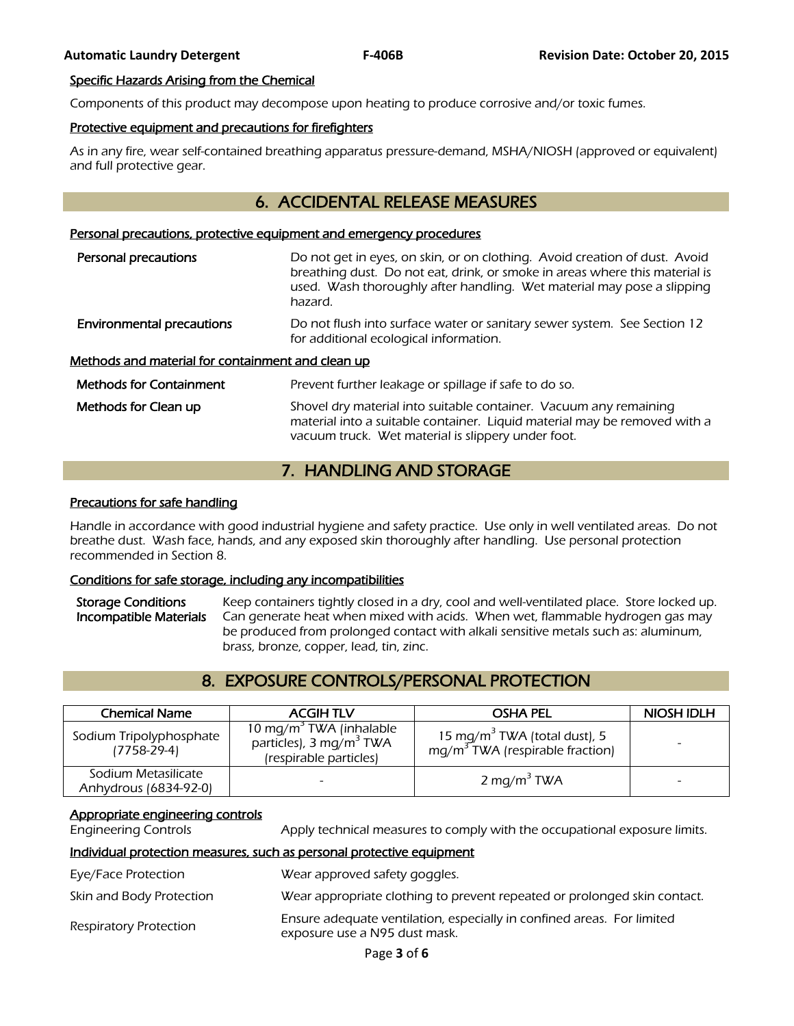#### Specific Hazards Arising from the Chemical

Components of this product may decompose upon heating to produce corrosive and/or toxic fumes.

#### Protective equipment and precautions for firefighters

As in any fire, wear self-contained breathing apparatus pressure-demand, MSHA/NIOSH (approved or equivalent) and full protective gear.

#### 6. ACCIDENTAL RELEASE MEASURES

#### Personal precautions, protective equipment and emergency procedures

| Personal precautions                              | Do not get in eyes, on skin, or on clothing. Avoid creation of dust. Avoid<br>breathing dust. Do not eat, drink, or smoke in areas where this material is<br>used. Wash thoroughly after handling. Wet material may pose a slipping<br>hazard. |  |  |
|---------------------------------------------------|------------------------------------------------------------------------------------------------------------------------------------------------------------------------------------------------------------------------------------------------|--|--|
| <b>Environmental precautions</b>                  | Do not flush into surface water or sanitary sewer system. See Section 12<br>for additional ecological information.                                                                                                                             |  |  |
| Methods and material for containment and clean up |                                                                                                                                                                                                                                                |  |  |
| <b>Methods for Containment</b>                    | Prevent further leakage or spillage if safe to do so.                                                                                                                                                                                          |  |  |
| Methods for Clean up                              | Shovel dry material into suitable container. Vacuum any remaining<br>material into a suitable container. Liquid material may be removed with a                                                                                                 |  |  |

#### 7. HANDLING AND STORAGE

vacuum truck. Wet material is slippery under foot.

#### Precautions for safe handling

Handle in accordance with good industrial hygiene and safety practice. Use only in well ventilated areas. Do not breathe dust. Wash face, hands, and any exposed skin thoroughly after handling. Use personal protection recommended in Section 8.

#### Conditions for safe storage, including any incompatibilities

Storage Conditions Keep containers tightly closed in a dry, cool and well-ventilated place. Store locked up. Incompatible Materials Can generate heat when mixed with acids. When wet, flammable hydrogen gas may be produced from prolonged contact with alkali sensitive metals such as: aluminum, brass, bronze, copper, lead, tin, zinc.

#### 8. EXPOSURE CONTROLS/PERSONAL PROTECTION

| <b>Chemical Name</b>                         | <b>ACGIH TLV</b>                                                                                     | <b>OSHA PEL</b>                                                                       | <b>NIOSH IDLH</b> |
|----------------------------------------------|------------------------------------------------------------------------------------------------------|---------------------------------------------------------------------------------------|-------------------|
| Sodium Tripolyphosphate<br>$(7758-29-4)$     | 10 mg/m <sup>3</sup> TWA (inhalable<br>particles), 3 mg/m <sup>3</sup> TWA<br>(respirable particles) | 15 mg/m $^{\rm 3}$ TWA (total dust), 5<br>mg/m <sup>3</sup> TWA (respirable fraction) |                   |
| Sodium Metasilicate<br>Anhydrous (6834-92-0) |                                                                                                      | 2 mg/m <sup>3</sup> TWA                                                               |                   |

#### Appropriate engineering controls

Engineering Controls Apply technical measures to comply with the occupational exposure limits.

#### Individual protection measures, such as personal protective equipment

Eye/Face Protection Wear approved safety goggles. Skin and Body Protection Wear appropriate clothing to prevent repeated or prolonged skin contact. Ensure adequate ventilation, especially in confined areas. For limited<br>Respiratory Protection exposure use a N95 dust mask.

Page **3** of **6**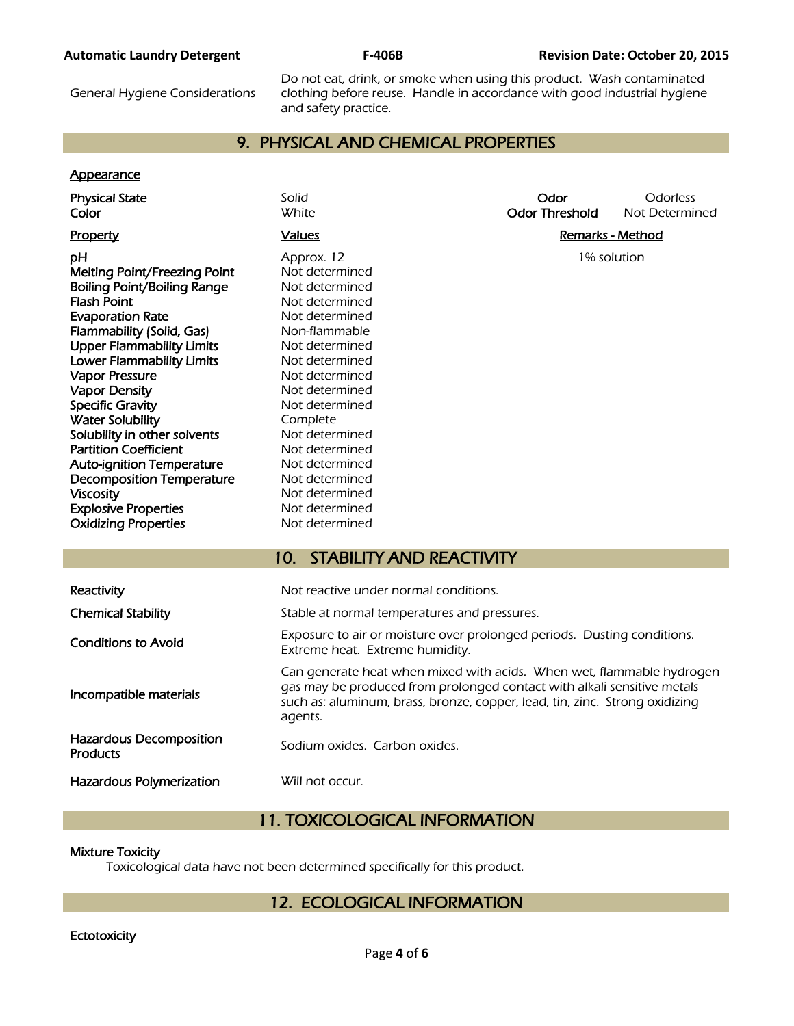#### **Automatic Laundry Detergent F-406B Revision Date: October 20, 2015**

General Hygiene Considerations

Do not eat, drink, or smoke when using this product. Wash contaminated clothing before reuse. Handle in accordance with good industrial hygiene and safety practice.

### 9. PHYSICAL AND CHEMICAL PROPERTIES

#### **Appearance**

| <b>Physical State</b><br>Color                                                                                                                                                                                                                                                                                                                                                                                                                                                                                                                                  | Solid<br><b>White</b>                                                                                                                                                                                                                                                                                                                   | Odor<br><b>Odor Threshold</b> | Odorless<br>Not Determined |
|-----------------------------------------------------------------------------------------------------------------------------------------------------------------------------------------------------------------------------------------------------------------------------------------------------------------------------------------------------------------------------------------------------------------------------------------------------------------------------------------------------------------------------------------------------------------|-----------------------------------------------------------------------------------------------------------------------------------------------------------------------------------------------------------------------------------------------------------------------------------------------------------------------------------------|-------------------------------|----------------------------|
| Property                                                                                                                                                                                                                                                                                                                                                                                                                                                                                                                                                        | <b>Values</b>                                                                                                                                                                                                                                                                                                                           | <b>Remarks - Method</b>       |                            |
| рH<br>Melting Point/Freezing Point<br><b>Boiling Point/Boiling Range</b><br><b>Flash Point</b><br><b>Evaporation Rate</b><br>Flammability (Solid, Gas)<br><b>Upper Flammability Limits</b><br><b>Lower Flammability Limits</b><br><b>Vapor Pressure</b><br><b>Vapor Density</b><br><b>Specific Gravity</b><br><b>Water Solubility</b><br>Solubility in other solvents<br><b>Partition Coefficient</b><br><b>Auto-ignition Temperature</b><br><b>Decomposition Temperature</b><br><b>Viscosity</b><br><b>Explosive Properties</b><br><b>Oxidizing Properties</b> | Approx. 12<br>Not determined<br>Not determined<br>Not determined<br>Not determined<br>Non-flammable<br>Not determined<br>Not determined<br>Not determined<br>Not determined<br>Not determined<br>Complete<br>Not determined<br>Not determined<br>Not determined<br>Not determined<br>Not determined<br>Not determined<br>Not determined | 1% solution                   |                            |
|                                                                                                                                                                                                                                                                                                                                                                                                                                                                                                                                                                 | <b>STABILITY AND REACTIVITY</b><br>10 <sub>1</sub>                                                                                                                                                                                                                                                                                      |                               |                            |
| Reactivity                                                                                                                                                                                                                                                                                                                                                                                                                                                                                                                                                      | Not reactive under normal conditions.                                                                                                                                                                                                                                                                                                   |                               |                            |
| <b>Chemical Stability</b>                                                                                                                                                                                                                                                                                                                                                                                                                                                                                                                                       | Stable at normal temperatures and pressures.                                                                                                                                                                                                                                                                                            |                               |                            |
| <b>Conditions to Avoid</b>                                                                                                                                                                                                                                                                                                                                                                                                                                                                                                                                      | Exposure to air or moisture over prolonged periods. Dusting conditions.<br>Extreme heat. Extreme humidity.                                                                                                                                                                                                                              |                               |                            |
| Incompatible materials                                                                                                                                                                                                                                                                                                                                                                                                                                                                                                                                          | Can generate heat when mixed with acids. When wet, flammable hydrogen<br>gas may be produced from prolonged contact with alkali sensitive metals<br>such as: aluminum, brass, bronze, copper, lead, tin, zinc. Strong oxidizing<br>agents.                                                                                              |                               |                            |
| <b>Hazardous Decomposition</b><br><b>Products</b>                                                                                                                                                                                                                                                                                                                                                                                                                                                                                                               | Sodium oxides. Carbon oxides.                                                                                                                                                                                                                                                                                                           |                               |                            |
| <b>Hazardous Polymerization</b>                                                                                                                                                                                                                                                                                                                                                                                                                                                                                                                                 | Will not occur.                                                                                                                                                                                                                                                                                                                         |                               |                            |

### 11. TOXICOLOGICAL INFORMATION

#### Mixture Toxicity

I

Toxicological data have not been determined specifically for this product.

#### 12. ECOLOGICAL INFORMATION

#### **Ectotoxicity**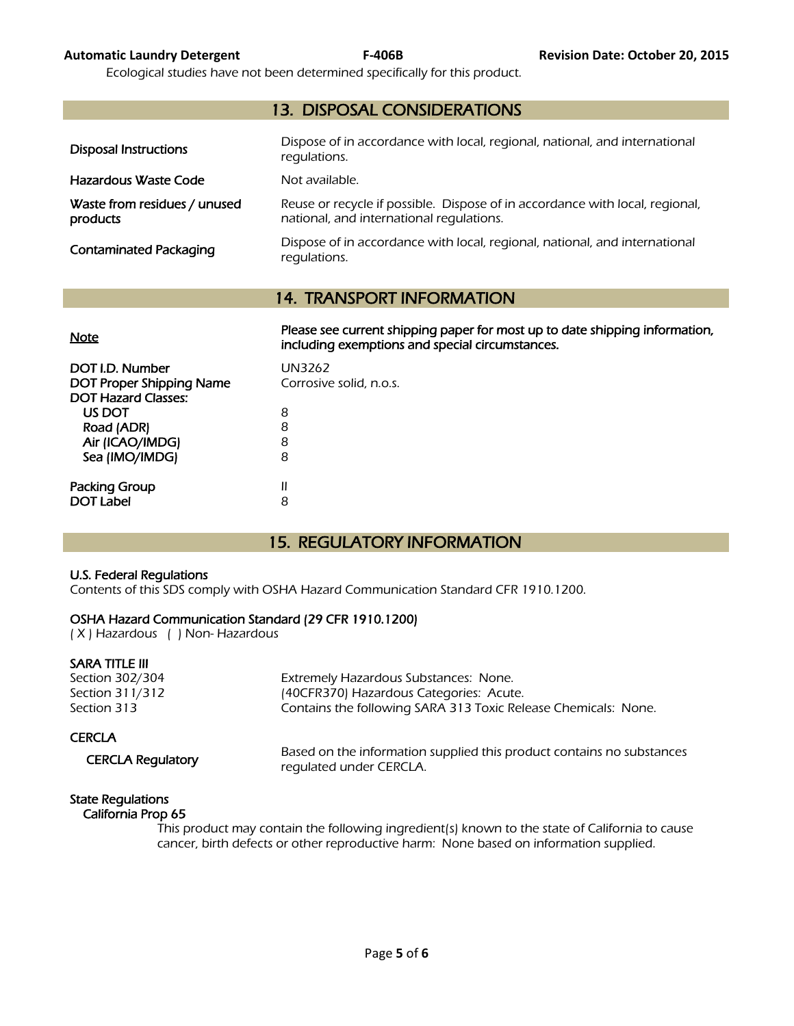Ecological studies have not been determined specifically for this product.

| <b>13. DISPOSAL CONSIDERATIONS</b>       |                                                                                                                          |  |  |
|------------------------------------------|--------------------------------------------------------------------------------------------------------------------------|--|--|
| <b>Disposal Instructions</b>             | Dispose of in accordance with local, regional, national, and international<br>regulations.                               |  |  |
| Hazardous Waste Code                     | Not available.                                                                                                           |  |  |
| Waste from residues / unused<br>products | Reuse or recycle if possible. Dispose of in accordance with local, regional,<br>national, and international requlations. |  |  |
| <b>Contaminated Packaging</b>            | Dispose of in accordance with local, regional, national, and international<br>regulations.                               |  |  |

#### 14. TRANSPORT INFORMATION

| <b>Note</b>                                                                      | Please see current shipping paper for most up to date shipping information,<br>including exemptions and special circumstances. |
|----------------------------------------------------------------------------------|--------------------------------------------------------------------------------------------------------------------------------|
| DOT I.D. Number<br><b>DOT Proper Shipping Name</b><br><b>DOT Hazard Classes:</b> | UN3262<br>Corrosive solid, n.o.s.                                                                                              |
| US DOT<br>Road (ADR)                                                             | 8<br>8                                                                                                                         |
| Air (ICAO/IMDG)<br>Sea (IMO/IMDG)                                                | 8<br>8                                                                                                                         |
| Packing Group<br><b>DOT Label</b>                                                | 8                                                                                                                              |

#### 15. REGULATORY INFORMATION

#### U.S. Federal Regulations

Contents of this SDS comply with OSHA Hazard Communication Standard CFR 1910.1200.

#### OSHA Hazard Communication Standard (29 CFR 1910.1200)

( X ) Hazardous ( ) Non- Hazardous

#### SARA TITLE III

Section 302/304 Extremely Hazardous Substances: None. Section 311/312 (40CFR370) Hazardous Categories: Acute. Section 313 **Section 313** Contains the following SARA 313 Toxic Release Chemicals: None.

#### **CERCLA**

CERCLA Regulatory Based on the information supplied this product contains no substances regulated under CERCLA.

#### State Regulations

#### California Prop 65

 This product may contain the following ingredient(s) known to the state of California to cause cancer, birth defects or other reproductive harm: None based on information supplied.